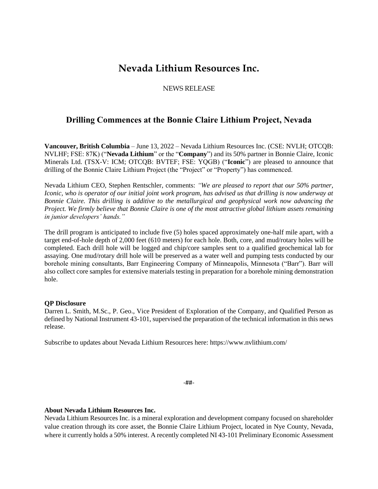# **Nevada Lithium Resources Inc.**

## NEWS RELEASE

## **Drilling Commences at the Bonnie Claire Lithium Project, Nevada**

**Vancouver, British Columbia** – June 13, 2022 – Nevada Lithium Resources Inc. (CSE: NVLH; OTCQB: NVLHF; FSE: 87K) ("**Nevada Lithium**" or the "**Company**") and its 50% partner in Bonnie Claire, Iconic Minerals Ltd. (TSX-V: ICM; OTCQB: BVTEF; FSE: YQGB) ("**Iconic**") are pleased to announce that drilling of the Bonnie Claire Lithium Project (the "Project" or "Property") has commenced.

Nevada Lithium CEO, Stephen Rentschler, comments: *"We are pleased to report that our 50% partner, Iconic, who is operator of our initial joint work program, has advised us that drilling is now underway at Bonnie Claire. This drilling is additive to the metallurgical and geophysical work now advancing the Project. We firmly believe that Bonnie Claire is one of the most attractive global lithium assets remaining in junior developers' hands."*

The drill program is anticipated to include five (5) holes spaced approximately one-half mile apart, with a target end-of-hole depth of 2,000 feet (610 meters) for each hole. Both, core, and mud/rotary holes will be completed. Each drill hole will be logged and chip/core samples sent to a qualified geochemical lab for assaying. One mud/rotary drill hole will be preserved as a water well and pumping tests conducted by our borehole mining consultants, Barr Engineering Company of Minneapolis, Minnesota ("Barr"). Barr will also collect core samples for extensive materials testing in preparation for a borehole mining demonstration hole.

### **QP Disclosure**

Darren L. Smith, M.Sc., P. Geo., Vice President of Exploration of the Company, and Qualified Person as defined by National Instrument 43-101, supervised the preparation of the technical information in this news release.

Subscribe to updates about Nevada Lithium Resources here: https://www.nvlithium.com/

-##-

## **About Nevada Lithium Resources Inc.**

Nevada Lithium Resources Inc. is a mineral exploration and development company focused on shareholder value creation through its core asset, the Bonnie Claire Lithium Project, located in Nye County, Nevada, where it currently holds a 50% interest. A recently completed NI 43-101 Preliminary Economic Assessment